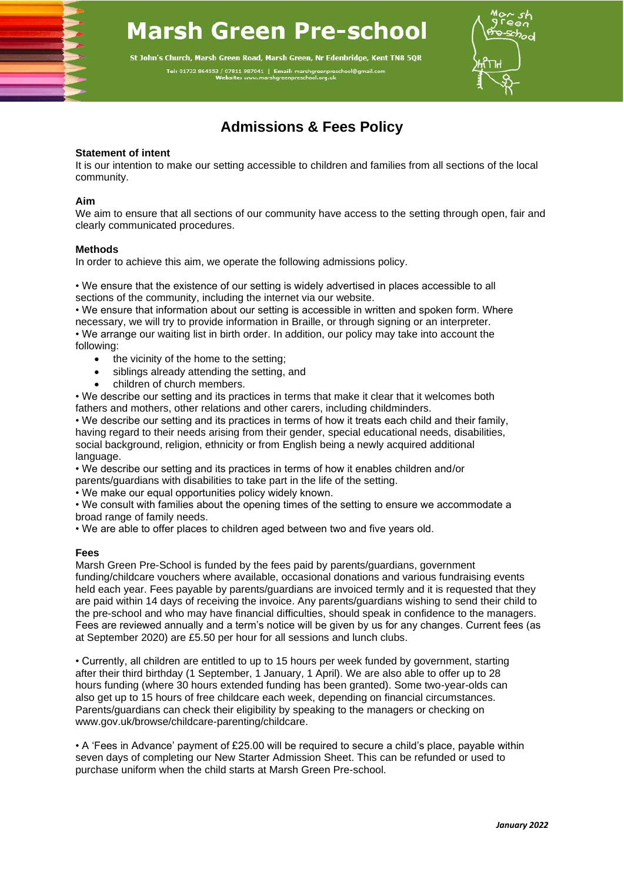# **Marsh Green Pre-school**

St John's Church, Marsh Green Road, Marsh Green, Nr Edenbridge, Kent TN8 5QR Tel: 01732 864553 / 07811 987041 | Email: marshgreenpreschool@gn



## **Admissions & Fees Policy**

#### **Statement of intent**

It is our intention to make our setting accessible to children and families from all sections of the local community.

#### **Aim**

We aim to ensure that all sections of our community have access to the setting through open, fair and clearly communicated procedures.

#### **Methods**

In order to achieve this aim, we operate the following admissions policy.

• We ensure that the existence of our setting is widely advertised in places accessible to all sections of the community, including the internet via our website.

• We ensure that information about our setting is accessible in written and spoken form. Where necessary, we will try to provide information in Braille, or through signing or an interpreter. • We arrange our waiting list in birth order. In addition, our policy may take into account the following:

- the vicinity of the home to the setting;
- siblings already attending the setting, and
- children of church members.

• We describe our setting and its practices in terms that make it clear that it welcomes both fathers and mothers, other relations and other carers, including childminders.

• We describe our setting and its practices in terms of how it treats each child and their family, having regard to their needs arising from their gender, special educational needs, disabilities, social background, religion, ethnicity or from English being a newly acquired additional language.

• We describe our setting and its practices in terms of how it enables children and/or parents/guardians with disabilities to take part in the life of the setting.

• We make our equal opportunities policy widely known.

• We consult with families about the opening times of the setting to ensure we accommodate a broad range of family needs.

• We are able to offer places to children aged between two and five years old.

#### **Fees**

Marsh Green Pre-School is funded by the fees paid by parents/guardians, government funding/childcare vouchers where available, occasional donations and various fundraising events held each year. Fees payable by parents/guardians are invoiced termly and it is requested that they are paid within 14 days of receiving the invoice. Any parents/guardians wishing to send their child to the pre-school and who may have financial difficulties, should speak in confidence to the managers. Fees are reviewed annually and a term's notice will be given by us for any changes. Current fees (as at September 2020) are £5.50 per hour for all sessions and lunch clubs.

• Currently, all children are entitled to up to 15 hours per week funded by government, starting after their third birthday (1 September, 1 January, 1 April). We are also able to offer up to 28 hours funding (where 30 hours extended funding has been granted). Some two-year-olds can also get up to 15 hours of free childcare each week, depending on financial circumstances. Parents/guardians can check their eligibility by speaking to the managers or checking on www.gov.uk/browse/childcare-parenting/childcare.

• A 'Fees in Advance' payment of £25.00 will be required to secure a child's place, payable within seven days of completing our New Starter Admission Sheet. This can be refunded or used to purchase uniform when the child starts at Marsh Green Pre-school.